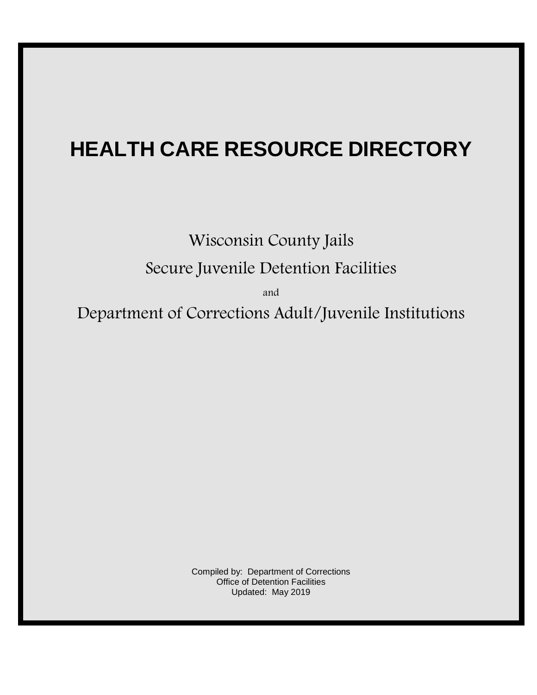# **HEALTH CARE RESOURCE DIRECTORY**

Wisconsin County Jails Secure Juvenile Detention Facilities

and

Department of Corrections Adult/Juvenile Institutions

Compiled by: Department of Corrections Office of Detention Facilities Updated: May 2019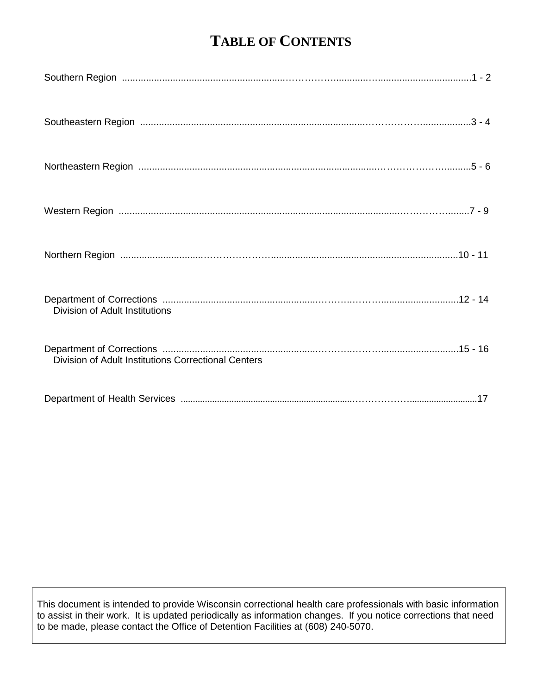## **TABLE OF CONTENTS**

| Division of Adult Institutions                      |  |
|-----------------------------------------------------|--|
| Division of Adult Institutions Correctional Centers |  |
|                                                     |  |

This document is intended to provide Wisconsin correctional health care professionals with basic information to assist in their work. It is updated periodically as information changes. If you notice corrections that need to be made, please contact the Office of Detention Facilities at (608) 240-5070.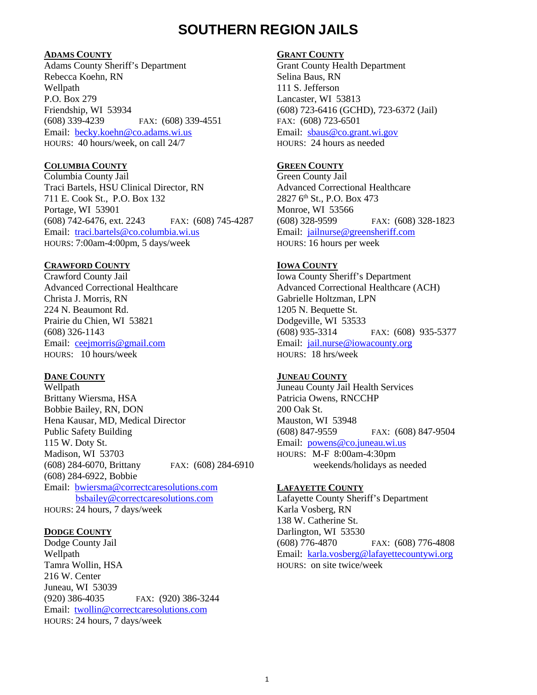### **SOUTHERN REGION JAILS**

### **ADAMS COUNTY**

Adams County Sheriff's Department Rebecca Koehn, RN Wellpath P.O. Box 279 Friendship, WI 53934 (608) 339-4239 FAX: (608) 339-4551 Email: [becky.koehn@co.adams.wi.us](mailto:becky.koehn@co.adams.wi.us) HOURS: 40 hours/week, on call 24/7

### **COLUMBIA COUNTY**

Columbia County Jail Traci Bartels, HSU Clinical Director, RN 711 E. Cook St., P.O. Box 132 Portage, WI 53901 (608) 742-6476, ext. 2243 FAX: (608) 745-4287 Email: [traci.bartels@co.columbia.wi.us](mailto:traci.bartels@co.columbia.wi.us) HOURS: 7:00am-4:00pm, 5 days/week

### **CRAWFORD COUNTY**

Crawford County Jail Advanced Correctional Healthcare Christa J. Morris, RN 224 N. Beaumont Rd. Prairie du Chien, WI 53821 (608) 326-1143 Email: [ceejmorris@gmail.com](mailto:ceejmorris@gmail.com) HOURS: 10 hours/week

#### **DANE COUNTY**

Wellpath Brittany Wiersma, HSA Bobbie Bailey, RN, DON Hena Kausar, MD, Medical Director Public Safety Building 115 W. Doty St. Madison, WI 53703 (608) 284-6070, Brittany FAX: (608) 284-6910 (608) 284-6922, Bobbie Email: [bwiersma@correctcaresolutions.com](mailto:bwiersma@correctcaresolutions.com) [bsbailey@correctcaresolutions.com](mailto:bsbailey@correctcaresolutions.com) HOURS: 24 hours, 7 days/week

#### **DODGE COUNTY**

Dodge County Jail Wellpath Tamra Wollin, HSA 216 W. Center Juneau, WI 53039 (920) 386-4035 FAX: (920) 386-3244 Email: [twollin@correctcaresolutions.com](mailto:twollin@correctcaresolutions.com) HOURS: 24 hours, 7 days/week

### **GRANT COUNTY**

Grant County Health Department Selina Baus, RN 111 S. Jefferson Lancaster, WI 53813 (608) 723-6416 (GCHD), 723-6372 (Jail) FAX: (608) 723-6501 Email: [sbaus@co.grant.wi.gov](mailto:sbaus@co.grant.wi.gov) HOURS: 24 hours as needed

### **GREEN COUNTY**

Green County Jail Advanced Correctional Healthcare 2827 6th St., P.O. Box 473 Monroe, WI 53566 (608) 328-9599 FAX: (608) 328-1823 Email: [jailnurse@greensheriff.com](mailto:jailnurse@greensheriff.com) HOURS: 16 hours per week

### **IOWA COUNTY**

Iowa County Sheriff's Department Advanced Correctional Healthcare (ACH) Gabrielle Holtzman, LPN 1205 N. Bequette St. Dodgeville, WI 53533 (608) 935-3314 FAX: (608) 935-5377 Email: [jail.nurse@iowacounty.org](mailto:jail.nurse@iowacounty.org) HOURS: 18 hrs/week

### **JUNEAU COUNTY**

Juneau County Jail Health Services Patricia Owens, RNCCHP 200 Oak St. Mauston, WI 53948 (608) 847-9559 FAX: (608) 847-9504 Email: [powens@co.juneau.wi.us](mailto:powens@co.juneau.wi.us) HOURS: M-F 8:00am-4:30pm weekends/holidays as needed

#### **LAFAYETTE COUNTY**

Lafayette County Sheriff's Department Karla Vosberg, RN 138 W. Catherine St. Darlington, WI 53530 (608) 776-4870 FAX: (608) 776-4808 Email: [karla.vosberg@lafayettecountywi.org](mailto:karla.vosberg@lafayettecountywi.org) HOURS: on site twice/week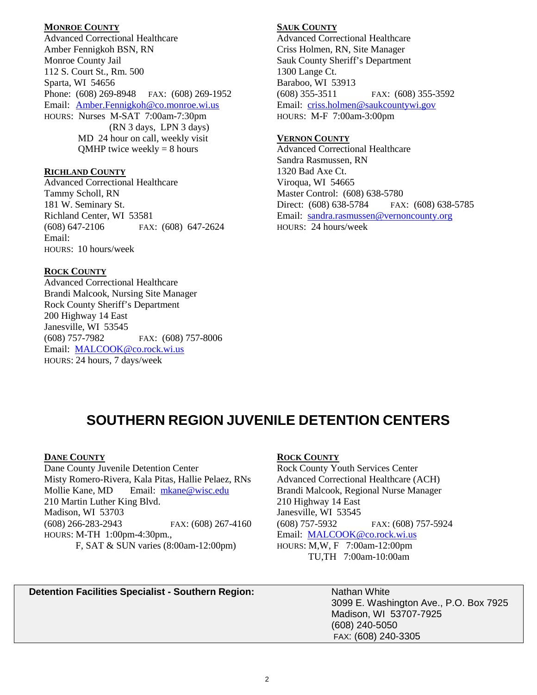### **MONROE COUNTY**

Advanced Correctional Healthcare Amber Fennigkoh BSN, RN Monroe County Jail 112 S. Court St., Rm. 500 Sparta, WI 54656 Phone: (608) 269-8948 FAX: (608) 269-1952 Email: [Amber.Fennigkoh@co.monroe.wi.us](mailto:Amber.Fennigkoh@co.monroe.wi.us) HOURS: Nurses M-SAT 7:00am-7:30pm (RN 3 days, LPN 3 days) MD 24 hour on call, weekly visit  $QMHP$  twice weekly = 8 hours

#### **RICHLAND COUNTY**

Advanced Correctional Healthcare Tammy Scholl, RN 181 W. Seminary St. Richland Center, WI 53581 (608) 647-2106 FAX: (608) 647-2624 Email: HOURS: 10 hours/week

### **ROCK COUNTY**

Advanced Correctional Healthcare Brandi Malcook, Nursing Site Manager Rock County Sheriff's Department 200 Highway 14 East Janesville, WI 53545 (608) 757-7982 FAX: (608) 757-8006 Email: [MALCOOK@co.rock.wi.us](mailto:MALCOOK@co.rock.wi.us) HOURS: 24 hours, 7 days/week

### **SAUK COUNTY**

Advanced Correctional Healthcare Criss Holmen, RN, Site Manager Sauk County Sheriff's Department 1300 Lange Ct. Baraboo, WI 53913 (608) 355-3511 FAX: (608) 355-3592 Email: criss.holmen@saukcountywi.gov HOURS: M-F 7:00am-3:00pm

### **VERNON COUNTY**

Advanced Correctional Healthcare Sandra Rasmussen, RN 1320 Bad Axe Ct. Viroqua, WI 54665 Master Control: (608) 638-5780 Direct: (608) 638-5784 FAX: (608) 638-5785 Email: [sandra.rasmussen@vernoncounty.org](mailto:sandra.rasmussen@vernoncounty.org) HOURS: 24 hours/week

### **SOUTHERN REGION JUVENILE DETENTION CENTERS**

#### **DANE COUNTY**

Dane County Juvenile Detention Center Misty Romero-Rivera, Kala Pitas, Hallie Pelaez, RNs Mollie Kane, MD Email: [mkane@wisc.edu](mailto:mkane@wisc.edu) 210 Martin Luther King Blvd. Madison, WI 53703 (608) 266-283-2943 FAX: (608) 267-4160 HOURS: M-TH 1:00pm-4:30pm., F, SAT & SUN varies (8:00am-12:00pm)

### **ROCK COUNTY**

Rock County Youth Services Center Advanced Correctional Healthcare (ACH) Brandi Malcook, Regional Nurse Manager 210 Highway 14 East Janesville, WI 53545 (608) 757-5932 FAX: (608) 757-5924 Email: [MALCOOK@co.rock.wi.us](mailto:MALCOOK@co.rock.wi.us) HOURS: M,W, F 7:00am-12:00pm TU,TH 7:00am-10:00am

### **Detention Facilities Specialist - Southern Region:** Nathan White

3099 E. Washington Ave., P.O. Box 7925 Madison, WI 53707-7925 (608) 240-5050 FAX: (608) 240-3305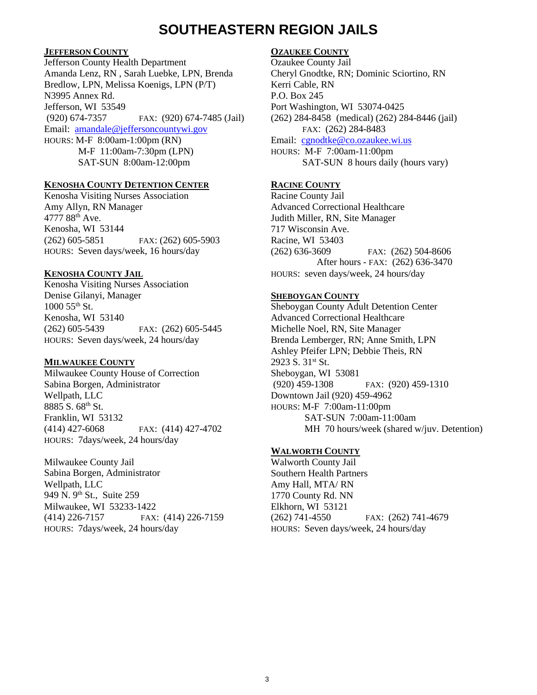### **SOUTHEASTERN REGION JAILS**

### **JEFFERSON COUNTY**

Jefferson County Health Department Amanda Lenz, RN , Sarah Luebke, LPN, Brenda Bredlow, LPN, Melissa Koenigs, LPN (P/T) N3995 Annex Rd. Jefferson, WI 53549 (920) 674-7357 FAX: (920) 674-7485 (Jail) Email: amandale@jeffersoncountywi.gov HOURS: M-F 8:00am-1:00pm (RN) M-F 11:00am-7:30pm (LPN) SAT-SUN 8:00am-12:00pm

#### **KENOSHA COUNTY DETENTION CENTER**

Kenosha Visiting Nurses Association Amy Allyn, RN Manager 4777 88<sup>th</sup> Ave. Kenosha, WI 53144 (262) 605-5851 FAX: (262) 605-5903 HOURS: Seven days/week, 16 hours/day

### **KENOSHA COUNTY JAIL**

Kenosha Visiting Nurses Association Denise Gilanyi, Manager 1000 55th St. Kenosha, WI 53140 (262) 605-5439 FAX: (262) 605-5445 HOURS: Seven days/week, 24 hours/day

### **MILWAUKEE COUNTY**

Milwaukee County House of Correction Sabina Borgen, Administrator Wellpath, LLC 8885 S. 68th St. Franklin, WI 53132 (414) 427-6068 FAX: (414) 427-4702 HOURS: 7days/week, 24 hours/day

Milwaukee County Jail Sabina Borgen, Administrator Wellpath, LLC 949 N. 9<sup>th</sup> St., Suite 259 Milwaukee, WI 53233-1422 (414) 226-7157 FAX: (414) 226-7159 HOURS: 7days/week, 24 hours/day

### **OZAUKEE COUNTY**

Ozaukee County Jail Cheryl Gnodtke, RN; Dominic Sciortino, RN Kerri Cable, RN P.O. Box 245 Port Washington, WI 53074-0425 (262) 284-8458 (medical) (262) 284-8446 (jail) FAX: (262) 284-8483 Email: [cgnodtke@co.ozaukee.wi.us](mailto:cgnodtke@co.ozaukee.wi.us) HOURS: M-F 7:00am-11:00pm SAT-SUN 8 hours daily (hours vary)

### **RACINE COUNTY**

Racine County Jail Advanced Correctional Healthcare Judith Miller, RN, Site Manager 717 Wisconsin Ave. Racine, WI 53403 (262) 636-3609 FAX: (262) 504-8606 After hours - FAX: (262) 636-3470 HOURS: seven days/week, 24 hours/day

### **SHEBOYGAN COUNTY**

Sheboygan County Adult Detention Center Advanced Correctional Healthcare Michelle Noel, RN, Site Manager Brenda Lemberger, RN; Anne Smith, LPN Ashley Pfeifer LPN; Debbie Theis, RN 2923 S. 31st St. Sheboygan, WI 53081 (920) 459-1308 FAX: (920) 459-1310 Downtown Jail (920) 459-4962 HOURS: M-F 7:00am-11:00pm SAT-SUN 7:00am-11:00am MH 70 hours/week (shared w/juv. Detention)

### **WALWORTH COUNTY**

Walworth County Jail Southern Health Partners Amy Hall, MTA/ RN 1770 County Rd. NN Elkhorn, WI 53121 (262) 741-4550 FAX: (262) 741-4679 HOURS: Seven days/week, 24 hours/day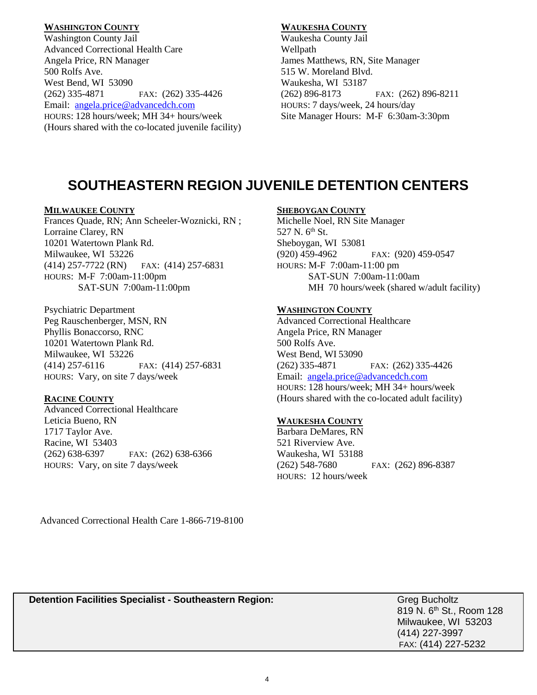### **WASHINGTON COUNTY**

Washington County Jail Advanced Correctional Health Care Angela Price, RN Manager 500 Rolfs Ave. West Bend, WI 53090 (262) 335-4871 FAX: (262) 335-4426 Email: [angela.price@advancedch.com](mailto:angela.price@advancedch.com) HOURS: 128 hours/week; MH 34+ hours/week (Hours shared with the co-located juvenile facility)

### **WAUKESHA COUNTY**

Waukesha County Jail Wellpath James Matthews, RN, Site Manager 515 W. Moreland Blvd. Waukesha, WI 53187 (262) 896-8173 FAX: (262) 896-8211 HOURS: 7 days/week, 24 hours/day Site Manager Hours: M-F 6:30am-3:30pm

### **SOUTHEASTERN REGION JUVENILE DETENTION CENTERS**

### **MILWAUKEE COUNTY**

Frances Quade, RN; Ann Scheeler-Woznicki, RN ; Lorraine Clarey, RN 10201 Watertown Plank Rd. Milwaukee, WI 53226 (414) 257-7722 (RN) FAX: (414) 257-6831 HOURS: M-F 7:00am-11:00pm SAT-SUN 7:00am-11:00pm

Psychiatric Department Peg Rauschenberger, MSN, RN Phyllis Bonaccorso, RNC 10201 Watertown Plank Rd. Milwaukee, WI 53226 (414) 257-6116 FAX: (414) 257-6831 HOURS: Vary, on site 7 days/week

### **RACINE COUNTY**

Advanced Correctional Healthcare Leticia Bueno, RN 1717 Taylor Ave. Racine, WI 53403 (262) 638-6397 FAX: (262) 638-6366 HOURS: Vary, on site 7 days/week

### **SHEBOYGAN COUNTY**

Michelle Noel, RN Site Manager 527 N. 6<sup>th</sup> St. Sheboygan, WI 53081 (920) 459-4962 FAX: (920) 459-0547 HOURS: M-F 7:00am-11:00 pm SAT-SUN 7:00am-11:00am MH 70 hours/week (shared w/adult facility)

### **WASHINGTON COUNTY**

Advanced Correctional Healthcare Angela Price, RN Manager 500 Rolfs Ave. West Bend, WI 53090 (262) 335-4871 FAX: (262) 335-4426 Email: [angela.price@advancedch.com](mailto:angela.price@advancedch.com) HOURS: 128 hours/week; MH 34+ hours/week (Hours shared with the co-located adult facility)

### **WAUKESHA COUNTY**

Barbara DeMares, RN 521 Riverview Ave. Waukesha, WI 53188 (262) 548-7680 FAX: (262) 896-8387 HOURS: 12 hours/week

Advanced Correctional Health Care 1-866-719-8100

**Detention Facilities Specialist - Southeastern Region:** Grean Grean Bucholtz

819 N. 6<sup>th</sup> St., Room 128 Milwaukee, WI 53203 (414) 227-3997 FAX: (414) 227-5232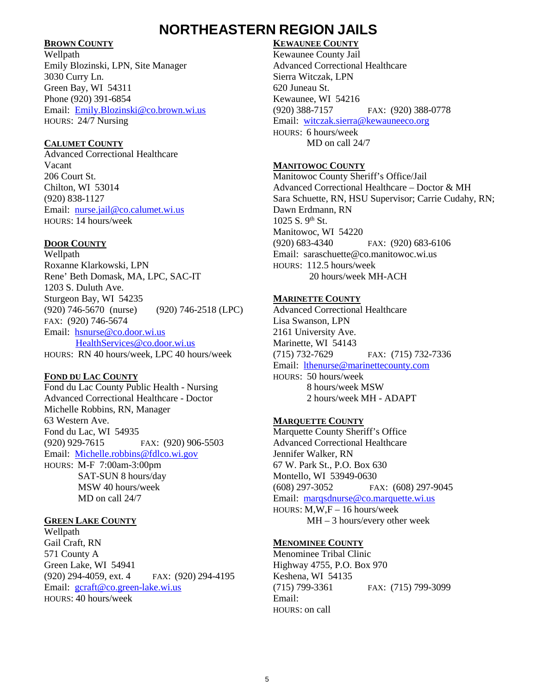### **NORTHEASTERN REGION JAILS**

### **BROWN COUNTY**

Wellpath Emily Blozinski, LPN, Site Manager 3030 Curry Ln. Green Bay, WI 54311 Phone (920) 391-6854 Email: [Emily.Blozinski@co.brown.wi.us](mailto:Emily.Blozinski@co.brown.wi.us) HOURS: 24/7 Nursing

### **CALUMET COUNTY**

Advanced Correctional Healthcare Vacant 206 Court St. Chilton, WI 53014 (920) 838-1127 Email: [nurse.jail@co.calumet.wi.us](mailto:nurse.jail@co.calumet.wi.us) HOURS: 14 hours/week

### **DOOR COUNTY**

Wellpath Roxanne Klarkowski, LPN Rene' Beth Domask, MA, LPC, SAC-IT 1203 S. Duluth Ave. Sturgeon Bay, WI 54235 (920) 746-5670 (nurse) (920) 746-2518 (LPC) FAX: (920) 746-5674 Email: [hsnurse@co.door.wi.us](mailto:hsnurse@co.door.wi.us) [HealthServices@co.door.wi.us](mailto:HealthServices@co.door.wi.us) HOURS: RN 40 hours/week, LPC 40 hours/week

### **FOND DU LAC COUNTY**

Fond du Lac County Public Health - Nursing Advanced Correctional Healthcare - Doctor Michelle Robbins, RN, Manager 63 Western Ave. Fond du Lac, WI 54935 (920) 929-7615 FAX: (920) 906-5503 Email: [Michelle.robbins@fdlco.wi.gov](mailto:Michelle.robbins@fdlco.wi.gov) HOURS: M-F 7:00am-3:00pm SAT-SUN 8 hours/day MSW 40 hours/week MD on call 24/7

### **GREEN LAKE COUNTY**

Wellpath Gail Craft, RN 571 County A Green Lake, WI 54941 (920) 294-4059, ext. 4 FAX: (920) 294-4195 Email: [gcraft@co.green-lake.wi.us](mailto:gcraft@co.green-lake.wi.us) HOURS: 40 hours/week

### **KEWAUNEE COUNTY**

Kewaunee County Jail Advanced Correctional Healthcare Sierra Witczak, LPN 620 Juneau St. Kewaunee, WI 54216 (920) 388-7157 FAX: (920) 388-0778 Email: [witczak.sierra@kewauneeco.org](mailto:witczak.sierra@kewauneeco.org) HOURS: 6 hours/week MD on call 24/7

### **MANITOWOC COUNTY**

Manitowoc County Sheriff's Office/Jail Advanced Correctional Healthcare – Doctor & MH Sara Schuette, RN, HSU Supervisor; Carrie Cudahy, RN; Dawn Erdmann, RN  $1025 S. 9^{th} St$ Manitowoc, WI 54220 (920) 683-4340 FAX: (920) 683-6106 Email: saraschuette@co.manitowoc.wi.us HOURS: 112.5 hours/week 20 hours/week MH-ACH

### **MARINETTE COUNTY**

Advanced Correctional Healthcare Lisa Swanson, LPN 2161 University Ave. Marinette, WI 54143 (715) 732-7629 FAX: (715) 732-7336 Email: [lthenurse@marinettecounty.com](mailto:lthenurse@marinettecounty.com) HOURS: 50 hours/week 8 hours/week MSW 2 hours/week MH - ADAPT

### **MARQUETTE COUNTY**

Marquette County Sheriff's Office Advanced Correctional Healthcare Jennifer Walker, RN 67 W. Park St., P.O. Box 630 Montello, WI 53949-0630 (608) 297-3052 FAX: (608) 297-9045 Email: [marqsdnurse@co.marquette.wi.us](mailto:marqsdnurse@co.marquette.wi.us) HOURS: M,W,F – 16 hours/week MH – 3 hours/every other week

### **MENOMINEE COUNTY**

Menominee Tribal Clinic Highway 4755, P.O. Box 970 Keshena, WI 54135 (715) 799-3361 FAX: (715) 799-3099 Email: HOURS: on call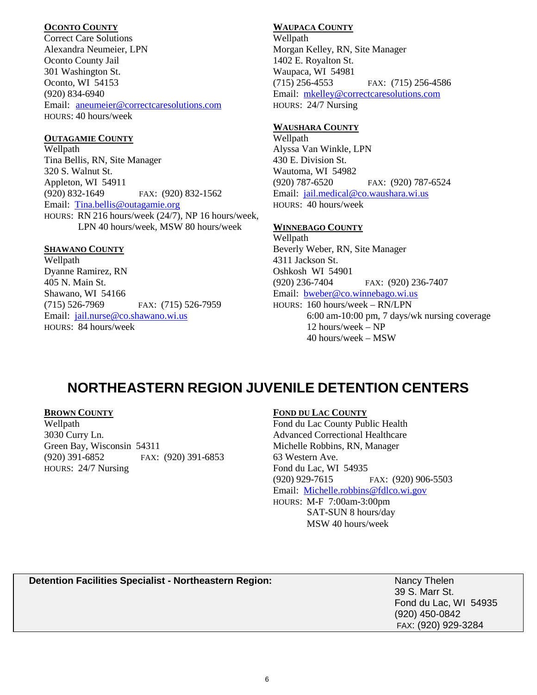### **OCONTO COUNTY**

Correct Care Solutions Alexandra Neumeier, LPN Oconto County Jail 301 Washington St. Oconto, WI 54153 (920) 834-6940 Email: [aneumeier@correctcaresolutions.com](mailto:aneumeier@correctcaresolutions.com) HOURS: 40 hours/week

### **OUTAGAMIE COUNTY**

Wellpath Tina Bellis, RN, Site Manager 320 S. Walnut St. Appleton, WI 54911 (920) 832-1649 FAX: (920) 832-1562 Email: [Tina.bellis@outagamie.org](mailto:Tina.bellis@outagamie.org) HOURS: RN 216 hours/week (24/7), NP 16 hours/week, LPN 40 hours/week, MSW 80 hours/week

### **SHAWANO COUNTY**

Wellpath Dyanne Ramirez, RN 405 N. Main St. Shawano, WI 54166 (715) 526-7969 FAX: (715) 526-7959 Email: [jail.nurse@co.shawano.wi.us](mailto:jail.nurse@co.shawano.wi.us) HOURS: 84 hours/week

### **WAUPACA COUNTY**

Wellpath Morgan Kelley, RN, Site Manager 1402 E. Royalton St. Waupaca, WI 54981 (715) 256-4553 FAX: (715) 256-4586 Email: [mkelley@correctcaresolutions.com](mailto:mkelley@correctcaresolutions.com) HOURS: 24/7 Nursing

### **WAUSHARA COUNTY**

Wellpath Alyssa Van Winkle, LPN 430 E. Division St. Wautoma, WI 54982 (920) 787-6520 FAX: (920) 787-6524 Email: [jail.medical@co.waushara.wi.us](mailto:jail.medical@co.waushara.wi.us) HOURS: 40 hours/week

### **WINNEBAGO COUNTY**

Wellpath Beverly Weber, RN, Site Manager 4311 Jackson St. Oshkosh WI 54901 (920) 236-7404 FAX: (920) 236-7407 Email: [bweber@co.winnebago.wi.us](mailto:bweber@co.winnebago.wi.us) HOURS: 160 hours/week – RN/LPN 6:00 am-10:00 pm, 7 days/wk nursing coverage 12 hours/week – NP 40 hours/week – MSW

## **NORTHEASTERN REGION JUVENILE DETENTION CENTERS**

### **BROWN COUNTY**

Wellpath 3030 Curry Ln. Green Bay, Wisconsin 54311 (920) 391-6852 FAX: (920) 391-6853 HOURS: 24/7 Nursing

### **FOND DU LAC COUNTY**

Fond du Lac County Public Health Advanced Correctional Healthcare Michelle Robbins, RN, Manager 63 Western Ave. Fond du Lac, WI 54935 (920) 929-7615 FAX: (920) 906-5503 Email: [Michelle.robbins@fdlco.wi.gov](mailto:Michelle.robbins@fdlco.wi.gov) HOURS: M-F 7:00am-3:00pm SAT-SUN 8 hours/day MSW 40 hours/week

### **Detention Facilities Specialist - Northeastern Region:** Nancy Thelen

39 S. Marr St. Fond du Lac, WI 54935 (920) 450-0842 FAX: (920) 929-3284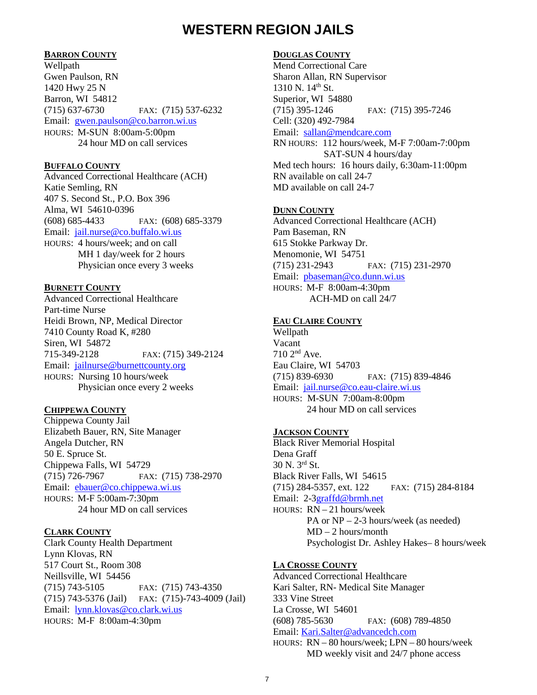### **WESTERN REGION JAILS**

### **BARRON COUNTY**

Wellpath Gwen Paulson, RN 1420 Hwy 25 N Barron, WI 54812 (715) 637-6730 FAX: (715) 537-6232 Email: [gwen.paulson@co.barron.wi.us](mailto:gwen.paulson@co.barron.wi.us) HOURS: M-SUN 8:00am-5:00pm 24 hour MD on call services

#### **BUFFALO COUNTY**

Advanced Correctional Healthcare (ACH) Katie Semling, RN 407 S. Second St., P.O. Box 396 Alma, WI 54610-0396 (608) 685-4433 FAX: (608) 685-3379 Email: [jail.nurse@co.buffalo.wi.us](mailto:jail.nurse@co.buffalo.wi.us) HOURS: 4 hours/week; and on call MH 1 day/week for 2 hours Physician once every 3 weeks

### **BURNETT COUNTY**

Advanced Correctional Healthcare Part-time Nurse Heidi Brown, NP, Medical Director 7410 County Road K, #280 Siren, WI 54872 715-349-2128 FAX: (715) 349-2124 Email: [jailnurse@burnettcounty.org](mailto:jailnurse@burnettcounty.org) HOURS: Nursing 10 hours/week Physician once every 2 weeks

### **CHIPPEWA COUNTY**

Chippewa County Jail Elizabeth Bauer, RN, Site Manager Angela Dutcher, RN 50 E. Spruce St. Chippewa Falls, WI 54729 (715) 726-7967 FAX: (715) 738-2970 Email: [ebauer@co.chippewa.wi.us](mailto:ebauer@co.chippewa.wi.us) HOURS: M-F 5:00am-7:30pm 24 hour MD on call services

### **CLARK COUNTY**

Clark County Health Department Lynn Klovas, RN 517 Court St., Room 308 Neillsville, WI 54456 (715) 743-5105 FAX: (715) 743-4350 (715) 743-5376 (Jail) FAX: (715)-743-4009 (Jail) Email: [lynn.klovas@co.clark.wi.us](mailto:lynn.klovas@co.clark.wi.us) HOURS: M-F 8:00am-4:30pm

### **DOUGLAS COUNTY**

Mend Correctional Care Sharon Allan, RN Supervisor 1310 N. 14<sup>th</sup> St. Superior, WI 54880 (715) 395-1246 FAX: (715) 395-7246 Cell: (320) 492-7984 Email: [sallan@mendcare.com](mailto:sallan@mendcare.com) RN HOURS: 112 hours/week, M-F 7:00am-7:00pm SAT-SUN 4 hours/day Med tech hours: 16 hours daily, 6:30am-11:00pm RN available on call 24-7 MD available on call 24-7

#### **DUNN COUNTY**

Advanced Correctional Healthcare (ACH) Pam Baseman, RN 615 Stokke Parkway Dr. Menomonie, WI 54751 (715) 231-2943 FAX: (715) 231-2970 Email: [pbaseman@co.dunn.wi.us](mailto:pbaseman@co.dunn.wi.us) HOURS: M-F 8:00am-4:30pm ACH-MD on call 24/7

### **EAU CLAIRE COUNTY**

Wellpath Vacant 710 2nd Ave. Eau Claire, WI 54703 (715) 839-6930 FAX: (715) 839-4846 Email: [jail.nurse@co.eau-claire.wi.us](mailto:jail.nurse@co.eau-claire.wi.us) HOURS: M-SUN 7:00am-8:00pm 24 hour MD on call services

### **JACKSON COUNTY**

Black River Memorial Hospital Dena Graff 30 N. 3rd St. Black River Falls, WI 54615 (715) 284-5357, ext. 122 FAX: (715) 284-8184 Email:2-3[graffd@brmh.net](mailto:graffd@brmh.net) HOURS: RN – 21 hours/week PA or NP – 2-3 hours/week (as needed) MD – 2 hours/month Psychologist Dr. Ashley Hakes– 8 hours/week

#### **LA CROSSE COUNTY**

Advanced Correctional Healthcare Kari Salter, RN- Medical Site Manager 333 Vine Street La Crosse, WI 54601 (608) 785-5630 FAX: (608) 789-4850 Email: [Kari.Salter@advancedch.com](mailto:Kari.Salter@advancedch.com) HOURS: RN – 80 hours/week; LPN – 80 hours/week MD weekly visit and 24/7 phone access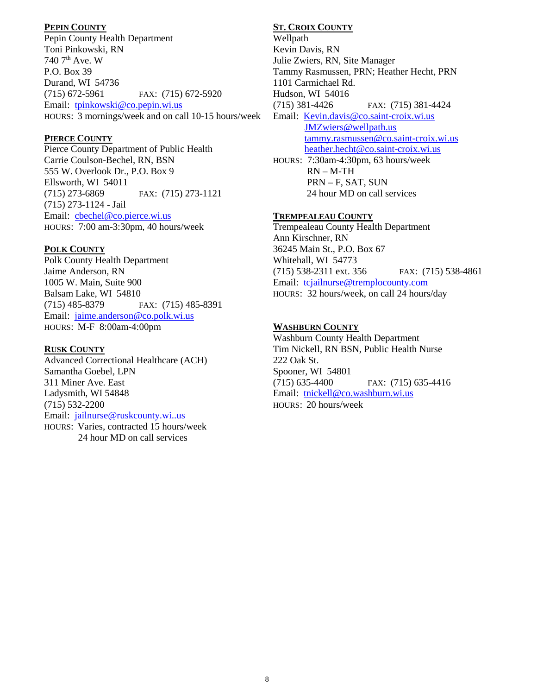### **PEPIN COUNTY**

Pepin County Health Department Toni Pinkowski, RN 740 7th Ave. W P.O. Box 39 Durand, WI 54736 (715) 672-5961 FAX: (715) 672-5920 Email: [tpinkowski@co.pepin.wi.us](mailto:tpinkowski@co.pepin.wi.us) HOURS: 3 mornings/week and on call 10-15 hours/week

### **PIERCE COUNTY**

Pierce County Department of Public Health Carrie Coulson-Bechel, RN, BSN 555 W. Overlook Dr., P.O. Box 9 Ellsworth, WI 54011 (715) 273-6869 FAX: (715) 273-1121 (715) 273-1124 - Jail Email: cbechel@co.pierce.wi.us HOURS: 7:00 am-3:30pm, 40 hours/week

### **POLK COUNTY**

Polk County Health Department Jaime Anderson, RN 1005 W. Main, Suite 900 Balsam Lake, WI 54810 (715) 485-8379 FAX: (715) 485-8391 Email: [jaime.anderson@co.polk.wi.us](mailto:jaime.anderson@co.polk.wi.us) HOURS: M-F 8:00am-4:00pm

### **RUSK COUNTY**

Advanced Correctional Healthcare (ACH) Samantha Goebel, LPN 311 Miner Ave. East Ladysmith, WI 54848 (715) 532-2200 Email: [jailnurse@ruskcounty.wi..us](mailto:jailnurse@ruskcounty.wi..us) HOURS: Varies, contracted 15 hours/week 24 hour MD on call services

### **ST. CROIX COUNTY**

Wellpath Kevin Davis, RN Julie Zwiers, RN, Site Manager Tammy Rasmussen, PRN; Heather Hecht, PRN 1101 Carmichael Rd. Hudson, WI 54016 (715) 381-4426 FAX: (715) 381-4424 Email: [Kevin.davis@co.saint-croix.wi.us](mailto:Kevin.davis@co.saint-croix.wi.us) [JMZwiers@wellpath.us](mailto:JMZwiers@wellpath.us) [tammy.rasmussen@co.saint-croix.wi.us](mailto:tammy.rasmussen@co.saint-croix.wi.us) [heather.hecht@co.saint-croix.wi.us](mailto:heather.hecht@co.saint-croix.wi.us) HOURS: 7:30am-4:30pm, 63 hours/week RN – M-TH PRN – F, SAT, SUN 24 hour MD on call services

### **TREMPEALEAU COUNTY**

Trempealeau County Health Department Ann Kirschner, RN 36245 Main St., P.O. Box 67 Whitehall, WI 54773 (715) 538-2311 ext. 356 FAX: (715) 538-4861 Email: [tcjailnurse@tremplocounty.com](mailto:tcjailnurse@tremplocounty.com) HOURS: 32 hours/week, on call 24 hours/day

### **WASHBURN COUNTY**

Washburn County Health Department Tim Nickell, RN BSN, Public Health Nurse 222 Oak St. Spooner, WI 54801 (715) 635-4400 FAX: (715) 635-4416 Email: [tnickell@co.washburn.wi.us](mailto:tnickell@co.washburn.wi.us) HOURS: 20 hours/week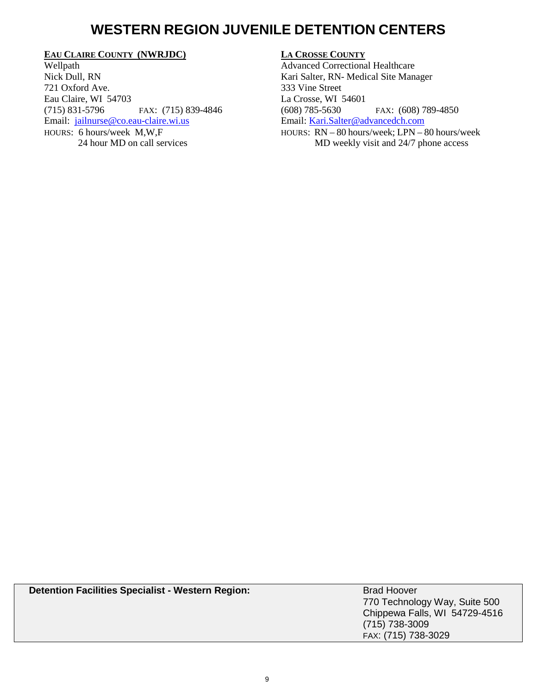### **WESTERN REGION JUVENILE DETENTION CENTERS**

### **EAU CLAIRE COUNTY (NWRJDC)**

Wellpath Nick Dull, RN 721 Oxford Ave. Eau Claire, WI 54703 (715) 831-5796 FAX: (715) 839-4846 Email: [jailnurse@co.eau-claire.wi.us](mailto:jailnurse@co.eau-claire.wi.us) HOURS: 6 hours/week M,W,F 24 hour MD on call services

### **LA CROSSE COUNTY**

Advanced Correctional Healthcare Kari Salter, RN- Medical Site Manager 333 Vine Street La Crosse, WI 54601 (608) 785-5630 FAX: (608) 789-4850 Email: [Kari.Salter@advancedch.com](mailto:Kari.Salter@advancedch.com) HOURS: RN – 80 hours/week; LPN – 80 hours/week MD weekly visit and 24/7 phone access

| <b>Detention Facilities Specialist - Western Region:</b> | <b>Brad Hoover</b><br>770 Technology Way, Suite 500 |
|----------------------------------------------------------|-----------------------------------------------------|
|                                                          | Chippewa Falls, WI 54729-4516                       |
|                                                          | $(715)$ 738-3009                                    |
|                                                          | FAX: (715) 738-3029                                 |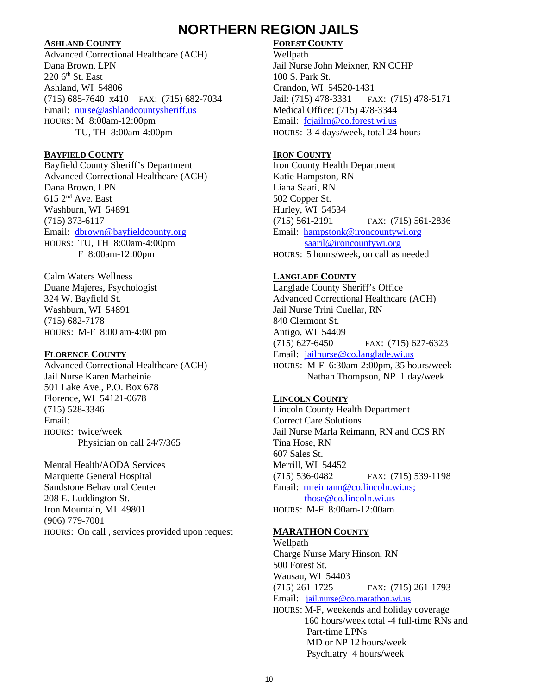### **NORTHERN REGION JAILS**

### **ASHLAND COUNTY**

Advanced Correctional Healthcare (ACH) Dana Brown, LPN  $220$  6<sup>th</sup> St. East Ashland, WI 54806 (715) 685-7640 x410 FAX: (715) 682-7034 Email: [nurse@ashlandc](mailto:Dana.Brown@ashland)ountysheriff.us HOURS: M 8:00am-12:00pm TU, TH 8:00am-4:00pm

### **BAYFIELD COUNTY**

Bayfield County Sheriff's Department Advanced Correctional Healthcare (ACH) Dana Brown, LPN 615 2nd Ave. East Washburn, WI 54891 (715) 373-6117 Email: [dbrown@bayfieldcounty.org](mailto:dbrown@bayfieldcounty.org) HOURS: TU, TH 8:00am-4:00pm F 8:00am-12:00pm

Calm Waters Wellness Duane Majeres, Psychologist 324 W. Bayfield St. Washburn, WI 54891 (715) 682-7178 HOURS: M-F 8:00 am-4:00 pm

### **FLORENCE COUNTY**

Advanced Correctional Healthcare (ACH) Jail Nurse Karen Marheinie 501 Lake Ave., P.O. Box 678 Florence, WI 54121-0678 (715) 528-3346 Email: HOURS: twice/week Physician on call 24/7/365

Mental Health/AODA Services Marquette General Hospital Sandstone Behavioral Center 208 E. Luddington St. Iron Mountain, MI 49801 (906) 779-7001 HOURS: On call , services provided upon request

### **FOREST COUNTY**

Wellpath Jail Nurse John Meixner, RN CCHP 100 S. Park St. Crandon, WI 54520-1431 Jail: (715) 478-3331 FAX: (715) 478-5171 Medical Office: (715) 478-3344 Email: fcjailrn@co.forest.wi.us HOURS: 3-4 days/week, total 24 hours

### **IRON COUNTY**

Iron County Health Department Katie Hampston, RN Liana Saari, RN 502 Copper St. Hurley, WI 54534 (715) 561-2191 FAX: (715) 561-2836 Email: [hampstonk@ironcountywi.org](mailto:hampstonk@ironcountywi.org) [saaril@ironcountywi.org](mailto:saaril@ironcountywi.org) HOURS: 5 hours/week, on call as needed

### **LANGLADE COUNTY**

Langlade County Sheriff's Office Advanced Correctional Healthcare (ACH) Jail Nurse Trini Cuellar, RN 840 Clermont St. Antigo, WI 54409 (715) 627-6450 FAX: (715) 627-6323 Email: jailnurse@co.langlade.wi.us HOURS: M-F 6:30am-2:00pm, 35 hours/week Nathan Thompson, NP 1 day/week

### **LINCOLN COUNTY**

Lincoln County Health Department Correct Care Solutions Jail Nurse Marla Reimann, RN and CCS RN Tina Hose, RN 607 Sales St. Merrill, WI 54452 (715) 536-0482 FAX: (715) 539-1198 Email: [mreimann@co.lincoln.wi.us;](mailto:mreimann@co.lincoln.wi.us) those@co.lincoln.wi.us HOURS: M-F 8:00am-12:00am

### **MARATHON COUNTY**

Wellpath Charge Nurse Mary Hinson, RN 500 Forest St. Wausau, WI 54403 (715) 261-1725 FAX: (715) 261-1793 Email: [ja](mailto:j)il.nurse@co.marathon.wi.us HOURS: M-F, weekends and holiday coverage 160 hours/week total -4 full-time RNs and Part-time LPNs MD or NP 12 hours/week Psychiatry 4 hours/week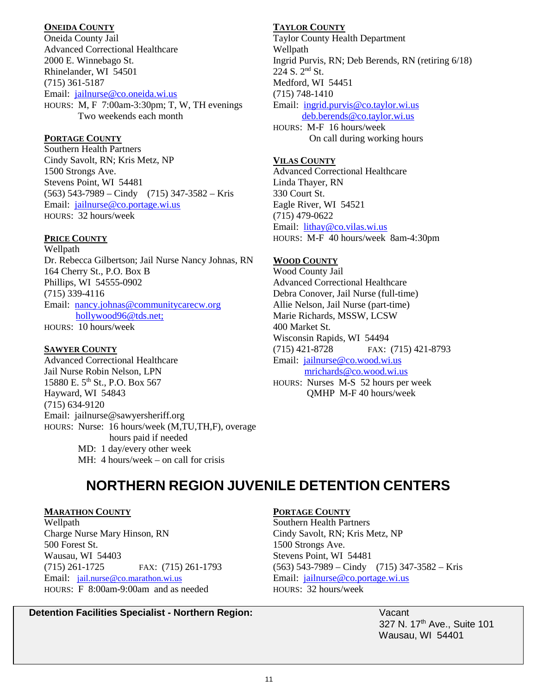### **ONEIDA COUNTY**

Oneida County Jail Advanced Correctional Healthcare 2000 E. Winnebago St. Rhinelander, WI 54501 (715) 361-5187 Email: [jailnurse@co.oneida.wi.us](mailto:jailnurse@co.oneida.wi.us) HOURS: M, F 7:00am-3:30pm; T, W, TH evenings Two weekends each month

### **PORTAGE COUNTY**

Southern Health Partners Cindy Savolt, RN; Kris Metz, NP 1500 Strongs Ave. Stevens Point, WI 54481  $(563)$  543-7989 – Cindy (715) 347-3582 – Kris Email: [jailnurse@co.portage.wi.us](mailto:jailnurse@co.portage.wi.us) HOURS: 32 hours/week

### **PRICE COUNTY**

Wellpath Dr. Rebecca Gilbertson; Jail Nurse Nancy Johnas, RN 164 Cherry St., P.O. Box B Phillips, WI 54555-0902 (715) 339-4116 Email: nancy.johnas@communitycarecw.org [hollywood96@tds.net;](mailto:hollywood96@tds.net) HOURS: 10 hours/week

### **SAWYER COUNTY**

Advanced Correctional Healthcare Jail Nurse Robin Nelson, LPN 15880 E. 5<sup>th</sup> St., P.O. Box 567 Hayward, WI 54843 (715) 634-9120 Email: jailnurse@sawyersheriff.org HOURS: Nurse: 16 hours/week (M,TU,TH,F), overage hours paid if needed MD: 1 day/every other week MH: 4 hours/week – on call for crisis

### **TAYLOR COUNTY**

Taylor County Health Department Wellpath Ingrid Purvis, RN; Deb Berends, RN (retiring 6/18) 224 S. 2nd St. Medford, WI 54451 (715) 748-1410 Email: [ingrid.purvis@co.taylor.wi.us](mailto:ingrid.purvis@co.taylor.wi.us) [deb.berends@co.taylor.wi.us](mailto:deb.berends@co.taylor.wi.us) HOURS: M-F 16 hours/week On call during working hours

### **VILAS COUNTY**

Advanced Correctional Healthcare Linda Thayer, RN 330 Court St. Eagle River, WI 54521 (715) 479-0622 Email: [lithay@co.vilas.wi.us](mailto:lithay@co.vilas.wi.us) HOURS: M-F 40 hours/week 8am-4:30pm

### **WOOD COUNTY**

Wood County Jail Advanced Correctional Healthcare Debra Conover, Jail Nurse (full-time) Allie Nelson, Jail Nurse (part-time) Marie Richards, MSSW, LCSW 400 Market St. Wisconsin Rapids, WI 54494 (715) 421-8728 FAX: (715) 421-8793 Email: [jailnurse@co.wood.wi.us](mailto:jailnurse@co.wood.wi.us) mrichards@co.wood.wi.us HOURS: Nurses M-S 52 hours per week QMHP M-F 40 hours/week

## **NORTHERN REGION JUVENILE DETENTION CENTERS**

### **MARATHON COUNTY**

Wellpath Charge Nurse Mary Hinson, RN 500 Forest St. Wausau, WI 54403 (715) 261-1725 FAX: (715) 261-1793 Email: [jail.nurse@co.marathon.wi.us](mailto:jail.nurse@co.marathon.wi.us) HOURS: F 8:00am-9:00am and as needed

### **PORTAGE COUNTY**

Southern Health Partners Cindy Savolt, RN; Kris Metz, NP 1500 Strongs Ave. Stevens Point, WI 54481 (563) 543-7989 – Cindy (715) 347-3582 – Kris Email: [jailnurse@co.portage.wi.us](mailto:jailnurse@co.portage.wi.us) HOURS: 32 hours/week

> 327 N. 17<sup>th</sup> Ave., Suite 101 Wausau, WI 54401

### **Detention Facilities Specialist - Northern Region:** Vacant Vacant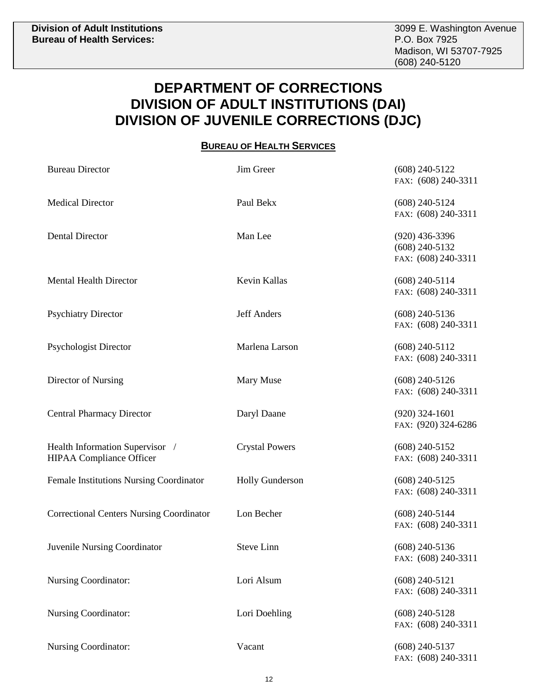### **DEPARTMENT OF CORRECTIONS DIVISION OF ADULT INSTITUTIONS (DAI) DIVISION OF JUVENILE CORRECTIONS (DJC)**

### **BUREAU OF HEALTH SERVICES**

| <b>Bureau Director</b>                                             | Jim Greer              | $(608)$ 240-5122<br>FAX: (608) 240-3311                     |
|--------------------------------------------------------------------|------------------------|-------------------------------------------------------------|
| <b>Medical Director</b>                                            | Paul Bekx              | $(608)$ 240-5124<br>FAX: (608) 240-3311                     |
| <b>Dental Director</b>                                             | Man Lee                | $(920)$ 436-3396<br>$(608)$ 240-5132<br>FAX: (608) 240-3311 |
| <b>Mental Health Director</b>                                      | Kevin Kallas           | $(608)$ 240-5114<br>FAX: (608) 240-3311                     |
| <b>Psychiatry Director</b>                                         | <b>Jeff Anders</b>     | $(608)$ 240-5136<br>FAX: (608) 240-3311                     |
| <b>Psychologist Director</b>                                       | Marlena Larson         | $(608)$ 240-5112<br>FAX: (608) 240-3311                     |
| Director of Nursing                                                | Mary Muse              | $(608)$ 240-5126<br>FAX: (608) 240-3311                     |
| <b>Central Pharmacy Director</b>                                   | Daryl Daane            | $(920)$ 324-1601<br>FAX: (920) 324-6286                     |
| Health Information Supervisor /<br><b>HIPAA Compliance Officer</b> | <b>Crystal Powers</b>  | $(608)$ 240-5152<br>FAX: (608) 240-3311                     |
| Female Institutions Nursing Coordinator                            | <b>Holly Gunderson</b> | $(608)$ 240-5125<br>FAX: (608) 240-3311                     |
| <b>Correctional Centers Nursing Coordinator</b>                    | Lon Becher             | $(608)$ 240-5144<br>FAX: (608) 240-3311                     |
| <b>Juvenile Nursing Coordinator</b>                                | <b>Steve Linn</b>      | $(608)$ 240-5136<br>FAX: (608) 240-3311                     |
| <b>Nursing Coordinator:</b>                                        | Lori Alsum             | $(608)$ 240-5121<br>FAX: (608) 240-3311                     |
| Nursing Coordinator:                                               | Lori Doehling          | $(608)$ 240-5128<br>FAX: (608) 240-3311                     |
| <b>Nursing Coordinator:</b>                                        | Vacant                 | $(608)$ 240-5137<br>FAX: (608) 240-3311                     |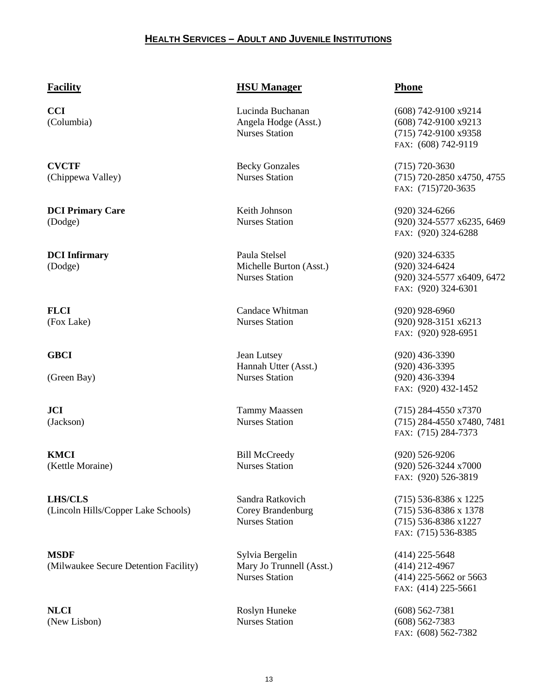### **HEALTH SERVICES – ADULT AND JUVENILE INSTITUTIONS**

**CVCTF** Becky Gonzales (715) 720-3630

**DCI Primary Care Keith Johnson** (920) 324-6266

**KMCI** Bill McCreedy (920) 526-9206

**LHS/CLS** Sandra Ratkovich (715) 536-8386 x 1225 (Lincoln Hills/Copper Lake Schools) Corey Brandenburg (715) 536-8386 x 1378

**MSDF** Sylvia Bergelin (414) 225-5648 (Milwaukee Secure Detention Facility) Mary Jo Trunnell (Asst.) (414) 212-4967

### **Facility HSU Manager Phone**

**DCI Infirmary** Paula Stelsel (920) 324-6335 (Dodge) Michelle Burton (Asst.) (920) 324-6424

**FLCI** Candace Whitman (920) 928-6960

**GBCI** Jean Lutsey (920) 436-3390 Hannah Utter (Asst.) (920) 436-3395 (Green Bay) Nurses Station (920) 436-3394

Nurses Station (414) 225-5662 or 5663

**CCI** Lucinda Buchanan (608) 742-9100 x9214 (Columbia) Angela Hodge (Asst.) (608) 742-9100 x9213 Nurses Station (715) 742-9100 x9358 FAX: (608) 742-9119

(Chippewa Valley) Nurses Station (715) 720-2850 x4750, 4755 FAX: (715)720-3635

(Dodge) Nurses Station (920) 324-5577 x6235, 6469 FAX: (920) 324-6288

> Nurses Station (920) 324-5577 x6409, 6472 FAX: (920) 324-6301

(Fox Lake) Nurses Station (920) 928-3151 x6213 FAX: (920) 928-6951

FAX: (920) 432-1452

**JCI** Tammy Maassen (715) 284-4550 x7370 (Jackson) Nurses Station (715) 284-4550 x7480, 7481 FAX: (715) 284-7373

(Kettle Moraine) Nurses Station (920) 526-3244 x7000 FAX: (920) 526-3819

> Nurses Station (715) 536-8386 x1227 FAX: (715) 536-8385

> > FAX: (414) 225-5661

**NLCI** Roslyn Huneke (608) 562-7381 (New Lisbon) Nurses Station (608) 562-7383 FAX: (608) 562-7382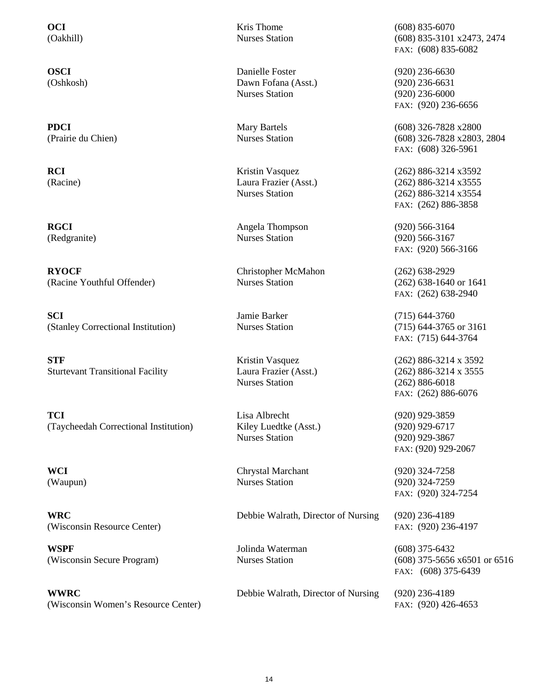**RYOCF** Christopher McMahon (262) 638-2929<br>
(Racine Youthful Offender) Nurses Station (262) 638-1640 (Racine Youthful Offender) Nurses Station (262) 638-1640 or 1641

**SCI** Jamie Barker (715) 644-3760 (Stanley Correctional Institution) Nurses Station (715) 644-3765 or 3161

**STF** Kristin Vasquez (262) 886-3214 x 3592 Sturtevant Transitional Facility Laura Frazier (Asst.) (262) 886-3214 x 3555

**TCI** Lisa Albrecht (920) 929-3859 (Taycheedah Correctional Institution) Kiley Luedtke (Asst.) (920) 929-6717

(Wisconsin Resource Center) FAX: (920) 236-4197

**WSPF** Jolinda Waterman (608) 375-6432

**WWRC** Debbie Walrath, Director of Nursing (920) 236-4189 (Wisconsin Women's Resource Center) FAX: (920) 426-4653

**OSCI** Danielle Foster (920) 236-6630 (Oshkosh) Dawn Fofana (Asst.) (920) 236-6631 Nurses Station (920) 236-6000

**RCI** Kristin Vasquez (262) 886-3214 x3592

RGCI Angela Thompson (920) 566-3164 (Redgranite) Nurses Station (920) 566-3167

Nurses Station (262) 886-6018

Nurses Station (920) 929-3867

**WCI** Chrystal Marchant (920) 324-7258 (Waupun) Nurses Station (920) 324-7259

**WRC** Debbie Walrath, Director of Nursing (920) 236-4189

**OCI** Kris Thome (608) 835-6070 (Oakhill) Nurses Station (608) 835-3101 x2473, 2474 FAX: (608) 835-6082

FAX: (920) 236-6656

**PDCI** Mary Bartels (608) 326-7828 x2800 (Prairie du Chien) Nurses Station (608) 326-7828 x2803, 2804 FAX: (608) 326-5961

(Racine) Laura Frazier (Asst.) (262) 886-3214 x3555 Nurses Station (262) 886-3214 x3554 FAX: (262) 886-3858

FAX: (920) 566-3166

FAX: (262) 638-2940

FAX: (715) 644-3764

FAX: (262) 886-6076

FAX: (920) 929-2067

FAX: (920) 324-7254

(Wisconsin Secure Program) Nurses Station (608) 375-5656 x6501 or 6516 FAX: (608) 375-6439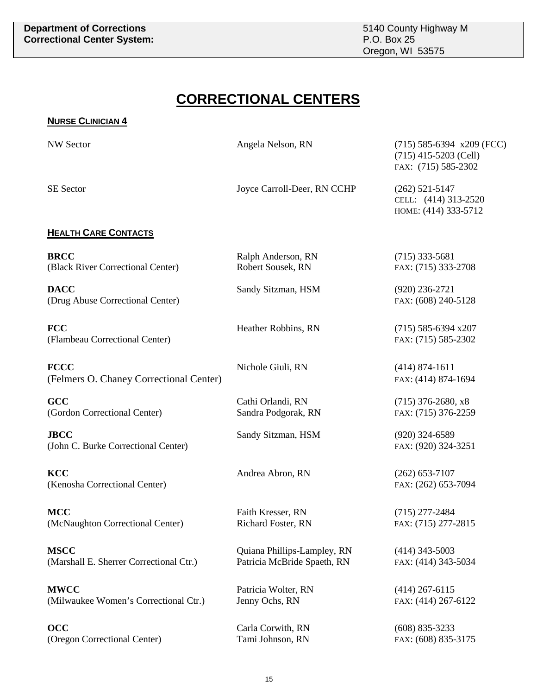## **CORRECTIONAL CENTERS**

| <b>NURSE CLINICIAN 4</b>                               |                                                            |                                                                               |
|--------------------------------------------------------|------------------------------------------------------------|-------------------------------------------------------------------------------|
| <b>NW Sector</b>                                       | Angela Nelson, RN                                          | $(715)$ 585-6394 x209 (FCC)<br>$(715)$ 415-5203 (Cell)<br>FAX: (715) 585-2302 |
| <b>SE Sector</b>                                       | Joyce Carroll-Deer, RN CCHP                                | $(262)$ 521-5147<br>CELL: (414) 313-2520<br>НОМЕ: (414) 333-5712              |
| <b>HEALTH CARE CONTACTS</b>                            |                                                            |                                                                               |
| <b>BRCC</b><br>(Black River Correctional Center)       | Ralph Anderson, RN<br>Robert Sousek, RN                    | $(715)$ 333-5681<br>FAX: (715) 333-2708                                       |
| <b>DACC</b><br>(Drug Abuse Correctional Center)        | Sandy Sitzman, HSM                                         | $(920)$ 236-2721<br>FAX: (608) 240-5128                                       |
| <b>FCC</b><br>(Flambeau Correctional Center)           | Heather Robbins, RN                                        | $(715)$ 585-6394 x207<br>FAX: (715) 585-2302                                  |
| <b>FCCC</b><br>(Felmers O. Chaney Correctional Center) | Nichole Giuli, RN                                          | $(414) 874 - 1611$<br>FAX: (414) 874-1694                                     |
| GCC<br>(Gordon Correctional Center)                    | Cathi Orlandi, RN<br>Sandra Podgorak, RN                   | $(715)$ 376-2680, x8<br>FAX: (715) 376-2259                                   |
| <b>JBCC</b><br>(John C. Burke Correctional Center)     | Sandy Sitzman, HSM                                         | $(920)$ 324-6589<br>FAX: (920) 324-3251                                       |
| <b>KCC</b><br>(Kenosha Correctional Center)            | Andrea Abron, RN                                           | $(262)$ 653-7107<br>FAX: (262) 653-7094                                       |
| MCC<br>(McNaughton Correctional Center)                | Faith Kresser, RN<br>Richard Foster, RN                    | $(715)$ 277-2484<br>FAX: (715) 277-2815                                       |
| <b>MSCC</b><br>(Marshall E. Sherrer Correctional Ctr.) | Quiana Phillips-Lampley, RN<br>Patricia McBride Spaeth, RN | $(414)$ 343-5003<br>FAX: (414) 343-5034                                       |
| <b>MWCC</b><br>(Milwaukee Women's Correctional Ctr.)   | Patricia Wolter, RN<br>Jenny Ochs, RN                      | $(414)$ 267-6115<br>FAX: (414) 267-6122                                       |
| <b>OCC</b>                                             | Carla Corwith, RN                                          | $(608)$ 835-3233                                                              |

(Oregon Correctional Center) Tami Johnson, RN FAX: (608) 835-3175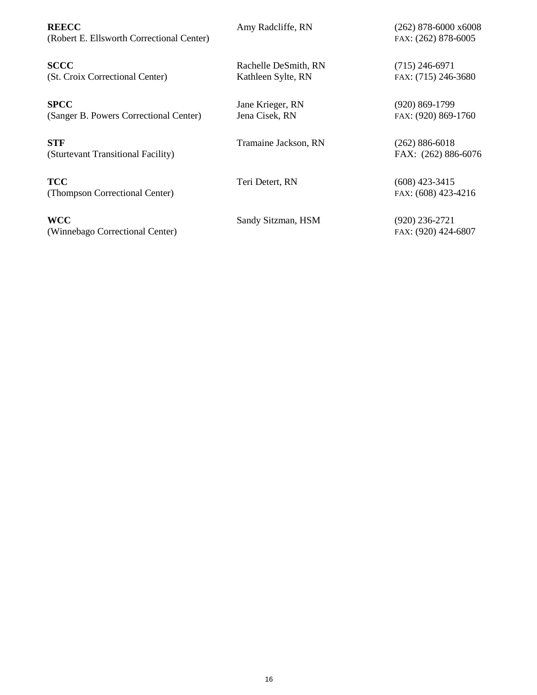**REECC** Amy Radcliffe, RN (262) 878-6000 x6008 (Robert E. Ellsworth Correctional Center) FAX: (262) 878-6005

**SCCC** Rachelle DeSmith, RN (715) 246-6971 (St. Croix Correctional Center) Kathleen Sylte, RN FAX: (715) 246-3680

**SPCC** Jane Krieger, RN (920) 869-1799 (Sanger B. Powers Correctional Center) Jena Cisek, RN FAX: (920) 869-1760

**STF** Tramaine Jackson, RN (262) 886-6018 (Sturtevant Transitional Facility) FAX: (262) 886-6076

**TCC** Teri Detert, RN (608) 423-3415 (Thompson Correctional Center) FAX: (608) 423-4216

**WCC** Sandy Sitzman, HSM (920) 236-2721 (Winnebago Correctional Center) FAX: (920) 424-6807